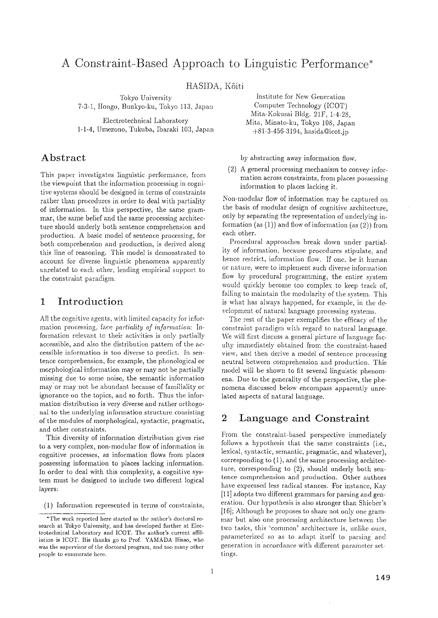# **A Constraint-Based Approach to Linguistic Performance\***

HASIDA, Kôiti

Tokyo University 7-3-1, Hongo, Bunkyo-ku, Tokyo 113, Japan

Electrotechnical Laboratory 1-1-4, Umezono, Tukuba, Ibaraki 103, Japan

# **Abstract**

This paper investigates linguistic performance, from the viewpoint that the information processing in cognitive systems should be designed in terms of constraints rather than procedures in order to deal with partiality of information. In this perspective, the same grammar, the same belief and the same processing architecture should underly both sentence comprehension and production. A basic model of sentence processing, for both comprehension and production, is derived along this line of reasoning. This model is demonstrated to account for diverse linguistic phenomena apparently unrelated to each other, lending empirical support to the constraint paradigm.

# **1 Introduction**

All the cognitive agents, with limited capacity for information processing, face *partiality of information:* Information relevant to their activities is only partially accessible, and also the distribution pattern of the accessible information is too diverse to predict. In sentence comprehension, for example, the phonological or morphological information may or may not be partially missing due to some noise, the semantic information may or may not be abundant because of familiality or ignorance on the topics, and so forth. Thus the information distribution is very diverse and rather orthogonal to the underlying information structure consisting of the modules of morphological, syntactic, pragmatic, and other constraints.

This diversity of information distribution gives rise to a very complex, non-modular flow of information in cognitive processes, as information flows from places possessing information to places lacking information. In order to deal with this complexity, a cognitive system must be designed to include two different logical layers:

'(1) Information represented in terms of constraints,

Institute for New Generation Computer Technology (ICOT) Mita-Kokusai Bldg. 21F, 1-4-28, Mira, Minato-ku, Tokyo 108, Japan  $+81-3-456-3194$ , hasida@icot.jp

by abstracting away information flow.

(2) A general processing mechanism to convey information across constraints, from places possessing information to places lacking it.

Non-modular flow of information may be captured on the basis of modular design of cognitive architecture, only by separating the representation of underlying information (as  $(1)$ ) and flow of information (as  $(2)$ ) from each other.

Procedural approaches break down under partiality of information, because procedures stipulate, and hence restrict, information flow. If one. be it human or nature, were to implement such diverse information flow by procedural programming, the entire system would quickly become too complex to keep track of, failing to maintain the modularity of the system. This is what has always happened, for example, in the development of natural language processing systems.

The rest of the paper exemplifies the efficacy of the constraint paradigm with regard to natural language. We will first discuss a general picture of language faculty immediately obtained from the constraint-based view, and then derive a model of sentence processing neutral between comprehension and production. This model will be shown to fit several linguistic phenomena. Due to the generality of the perspective, the phenomena discussed below encompass apparently unrelated aspects of natural language.

### **2 Language and Constraint**

From the constraint-based perspective immediately follows a hypothesis that the same constraints (i.e., lexical, syntactic, semantic, pragmatic, and whatever), corresponding to (1), and the same processing architecture, corresponding to (2), should underly both sentence comprehension and production. Other authors have expressed less radical stances. For instance, Kay [11] adopts two different grammars for parsing and generation. Our hypothesis is also stronger than Shieber's [16]; Although he proposes to share not only one grammar but also one processing architecture between the two tasks, this 'common' architecture is, unlike ours, parameterized so as to adapt itself to parsing and generation in accordance with different parameter settings.

<sup>\*</sup>The work reported here started as the author's doctoral research at Tokyo University, and has developed further at Electrotechnical Laboratory and ICOT. The author's current affiliation is ICOT. His thanks go to Prof. YAMADA Hisao, who was the supervisor of the doctoral program, and too many other people to enumerate here.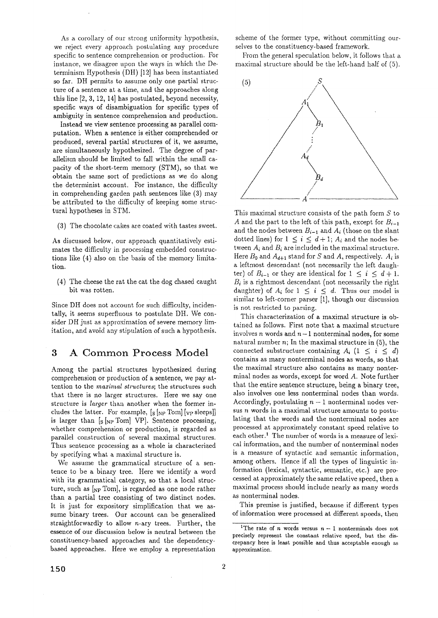As a corollary of our strong uniformity hypothesis, we reject every approach postulating any procedure specific to sentence comprehension or production. For instance, we disagree upon the ways in which the Determinism Hypothesis (DH) [12] has been instantiated so far. DH permits to assume only one partial structure of a sentence at a time, and the approaches along this line [2, 3, 12, 14] has postulated, beyond necessity, specific ways of disambiguation for specific types of ambiguity in sentence comprehension and production.

Instead we view sentence processing as parallel computation. When a sentence is either comprehended or produced, several partial structures of it, we assume, are simultaneously hypothesized. The degree of parallelism should be limited to fall within the small capacity of the short-term memory (STM), so that we obtain the same sort of predictions as we do along the determinist account. For instance, the difficulty in comprehending garden path sentences like (3) may be attributed to the difficulty of keeping some structural hypotheses in STM.

(3) The chocolate cakes are coated with tastes sweet.

As discussed below, our approach quantitatively estimates the difficulty in processing embedded constructions like (4) also on the basis of the memory limitation.

(4) The cheese the rat the cat the dog chased caught bit was rotten.

Since DH does not account for such difficulty, incidentally, it seems superfluous to postulate DH. We consider DH just as approximation of severe memory limitation, and avoid any stipulation of such a hypothesis.

## **3 A Common Process Model**

Among the partial structures hypothesized during comprehension or production of a sentence, we pay attention to the *maximal structures*; the structures such that there is no larger structures. Here we say one structure is *larger* than another when the former includes the latter. For example,  $[s]_{NP}$  Tom]  $[v_P$  sleeps]] is larger than  $[s]_{NP}$  Tom] VP]. Sentence processing, whether comprehension or production, is regarded as parallel construction of several maximal structures. Thus sentence processing as & whole is characterized by specifying what a maximal structure is.

We assume the grammatical structure of a sentence to be a binary tree. Here we identify a word with its grammatical category, so that a local structure, such as  $[<sub>NP</sub>$  Tom], is regarded as one node rather than a partial tree consisting of two distinct nodes. It is just for expository simplification that we assume binary trees. Our account can be generalized straightforwardly to allow n-ary trees. Further, the essence of our discussion below is neutral between the constituency-based approaches and the dependencybased approaches. Here we employ a representation scheme of the former type, without committing ourselves to the constituency-based framework.

From the general speculation below, it follows that a maximal structure should be the left-hand half of (5).



This maximal structure consists of the path form  $S$  to A and the part to the left of this path, except for  $B_{i-1}$ and the nodes between  $B_{i-1}$  and  $A_i$  (those on the slant dotted lines) for  $1 \leq i \leq d+1$ ;  $A_i$  and the nodes between  $A_i$  and  $B_i$  are included in the maximal structure. Here  $B_0$  and  $A_{d+1}$  stand for S and A, respectively.  $A_i$  is a leftmost descendant (not necessarily the left daughter) of  $B_{i-1}$  or they are identical for  $1 \leq i \leq d+1$ .  $B_i$  is a rightmost descendant (not necessarily the right daughter) of  $A_i$  for  $1 \leq i \leq d$ . Thus our model is similar to left-corner parser [1], though our discussion is not restricted to parsing.

This characterization of a maximal structure is obtained as follows. First note that a maximal structure involves n words and  $n-1$  nonterminal nodes, for some natural number  $n$ ; In the maximal structure in  $(5)$ , the connected substructure containing  $A_i$   $(1 \leq i \leq d)$ contains as many nonterminal nodes as words, so that the maximal structure also contains as many nonterminal nodes as words, except for word A. Note further that the entire sentence structure, being a binary tree, also involves one less nonterminal nodes than words. Accordingly, postulating  $n - 1$  nonterminal nodes versus  $n$  words in a maximal structure amounts to postulating that the words and the nonterminal nodes are processed at approximately constant speed relative to each other.<sup>1</sup> The number of words is a measure of lexical information, and the number of nonterminal nodes is a measure of syntactic and semantic information, among others. Hence if all the types of linguistic information (lexical, syntactic, semantic, etc.) are processed at approximately the same relative speed, then a maximal process should include nearly as many words as nonterminal nodes.

This premise is justified, because if different types of information were processed at different speeds, then

<sup>&</sup>lt;sup>1</sup>The rate of *n* words versus  $n - 1$  nonterminals does not precisely represent the constant relative speed, but the discrepancy here is least possible and thus acceptable enough as approximation.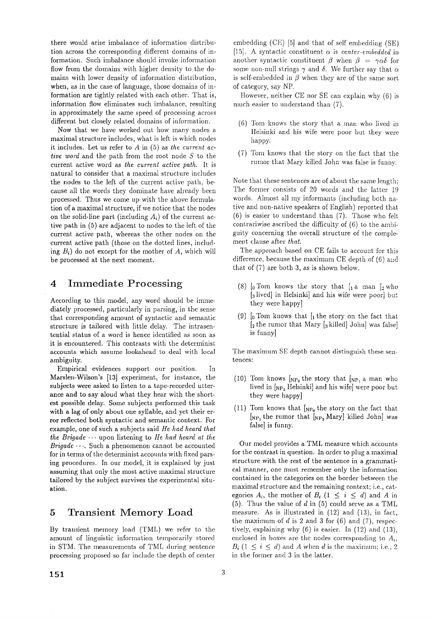there would arise imbalance of information distribution across the corresponding different domains of information. Such imhalance should invoke information flow from the domains with higher density to the domains with lower density of information distribution, when, as in the case of language, those domains of information are tightly related with each other. That is, information flow eliminates such imbalance, resulting in approximately the same speed of processing across different but closely related domains of information.

Now that we have worked out how many nodes a maximal structure includes, what is left is which nodes it includes. Let us refer to A in (5) as *the current active word* and the path from the root node S to the current active word as *the current active path.* It is natural to consider that a maximal structure includes the nodes to the left of the current active path, because all the words they dominate have already been processed. Thus we come up with the above formulation of a maximal structure, if we notice that the nodes on the solid-line part (including  $A_i$ ) of the current active path in (5) are adjacent to nodes to the left of the current active path, whereas the other nodes on the current active path (those on the dotted lines, including  $B_i$ ) do not except for the mother of A, which will be processed at the next moment.

#### **4 Immediate Processing**

According to this model, any word should be immediately processed, particularly in parsing, in the sense that corresponding amount of syntactic and semantic structure is tailored with little delay. The intrasentential status of a word is hence identified as soon as it is encountered. This contrasts with the determinist accounts which assume lookahead to deal with local ambiguity.

Empirical evidences support our position. In Marslen-Wilson's [13] experiment, for instance, the subjects were asked to listen to a tape-recorded utterance and to say aloud what they hear with the shortest possible delay. Some subjects performed this task with a lag of only about one syllable, and yet their error reflected both syntactic and semantic context. For example, one of such a subjects said *lie had heard that the Brigade ...* upon listening to *He had heard at the Brigade ....* Such a phenomenon cannot be accounted for in terms of the determinist accounts with fixed parsing procedures. In our model, it is explained by just assuming that only the most active maximal structure tailored by the subject survives the experimental situation.

## **5** Transient Memory Load

By transient memory load (TML) we refer to the amount of linguistic information temporarily stored in STM. The measurements of TML during sentence processing proposed so far include the depth of center

embedding (CE) [5] and that of self embedding (SE) [15]. A syntactic constituent  $\alpha$  is *center-embedded* in another syntactic constituent  $\beta$  when  $\beta = \gamma \alpha \delta$  for some non-null strings  $\gamma$  and  $\delta$ . We further say that  $\alpha$ is self-embedded in  $\beta$  when they are of the same sort of category, say NP.

However, neither CE nor SE can explain why (6) is much easier to understand than (7).

- $(6)$  Tom knows the story that a man who lived in Helsinki and his wife were poor but they were happy.
- (7) Tom knows that the story on the fact that the rumor that Mary killed John was false is funny.

Note that these sentences are of about the same length; The former consists of 20 words and the latter 19 words. Almost all my informants (including both native and non-native speakers of English) reported that (6) is easier to understand than (7). Those who felt contrariwise ascribed the difficulty of (6) to the ambiguity concerning the overall structure of the cornplement clause after *that*.

The approach based on CE fails to account for this difference, because the maximum CE depth of  $(6)$  and that of (7) are both 3, as is shown below.

- (8)  $\lbrack 0$  Tom knows the story that  $\lbrack 1$  a man  $\lbrack 2$  who [3lived] in Helsinki] and his wife were poor] but they were happy]
- (9)  $\left[0, 0\right]$  Tom knows that  $\left[1, 0\right]$  the story on the fact that  $\left[2 \right]$  the rumor that Mary  $\left[3 \right]$  killed] John] was false] is funny]

The maximum SE depth cannot distinguish these sentences:

- (10) Tom knows  $N_{\rm P_0}$  the story that  $N_{\rm P_1}$  a man who lived in  $[N_{P_2}]$  Helsinki] and his wife] were poor but they were happy]
- (11) Tom knows that  $N_{\text{NP}_0}$  the story on the fact that  $[N_{P_1}]$  the rumor that  $[N_{P_2}]$  Mary] killed John] was false] is funny.

Our model provides a TML measure which accounts for the contrast in question. In order to plug a maximal structure with the rest of the sentence in a grammatical manner, one must remember only the information contained in the categories on the border between the maximal structure and the remaining context; i.e., categories  $A_i$ , the mother of  $B_i$  (1  $\leq i \leq d$ ) and A in  $(5)$ . Thus the value of d in  $(5)$  could serve as a TML measure. As is illustrated in (12) and (13), in fact, the maximum of  $d$  is 2 and 3 for  $(6)$  and  $(7)$ , respectively, explaining why  $(6)$  is easier. In  $(12)$  and  $(13)$ , enclosed in boxes are the nodes corresponding to  $A_i$ ,  $B_i$  (1  $\leq i \leq d$ ) and A when d is the maximum; i.e., 2 in the former and 3 in the latter.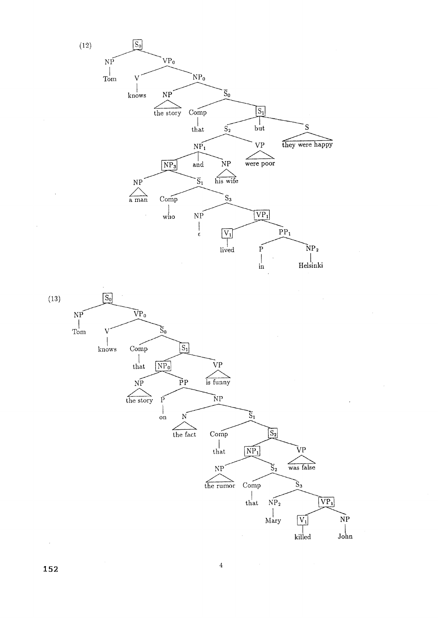



**152**  $\frac{1}{2}$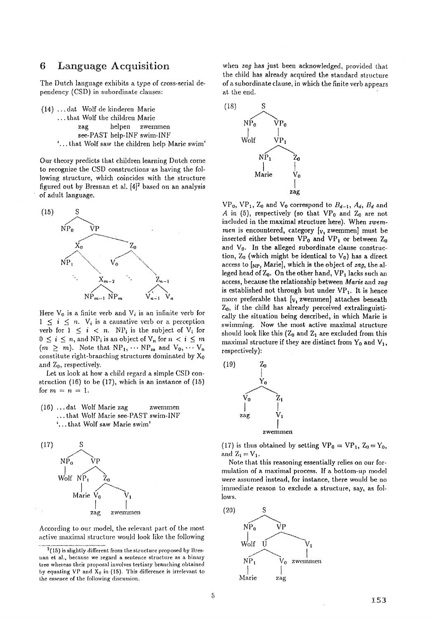#### **6 Language Acquisition**

The Dutch language exhibits a type of cross-serial dependency (CSD) in subordinate clauses:

(14) ...dat Wolf de kinderen Marie ... that Wolf the children Marie zag helpen zwemmen see-PAST help-INF swim-INF '... that Wolf saw the children help Marie swim'

Our .theory predicts that children learning Dutch come to recognize the CSD constructions "as having the following structure, which coincides with the structure figured out by Bresnan et al.  $[4]^2$  based on an analysis of adult language.



Here  $V_0$  is a finite verb and  $V_i$  is an infinite verb for  $1 \leq i \leq n$ .  $V_i$  is a causative verb or a perception verb for  $1 \leq i \leq n$ . NP<sub>i</sub> is the subject of  $V_i$  for  $0 \leq i \leq n$ , and NP<sub>i</sub> is an object of V<sub>n</sub> for  $n < i \leq m$  $(m \geq m)$ . Note that  $NP_1, \cdots NP_m$  and  $V_0, \cdots V_m$ constitute right-branching structures dominated by  $X_0$ and *Zo,* respectively.

Let us look at how a child regard a simple CSD construction (16) to be (17), which is an instance of (15) for  $m = n = 1$ .

 $(16)$  ... dat Wolf Marie zag zwemmen ... that Wolf Marie see-PAST swim-INF '... that Wolf saw Marie swim'



According to our model, the relevant part of the most active maximal structure would look like the following when *zag* has just been acknowledged, provided that the child has already acquired the standard structure of a subordinate clause, in which the finite verb appears at the end.



 $VP_0$ ,  $VP_1$ ,  $Z_0$  and  $V_0$  correspond to  $B_{d-1}$ ,  $A_d$ ,  $B_d$  and A in (5), respectively (so that  $VP_0$  and  $Z_0$  are not included in the maximal structure here). When *zwem*men is encountered, category  $[v, z$ wemmen] must be inserted either between  $VP_0$  and  $VP_1$  or between  $Z_0$ and  $V_0$ . In the alleged subordinate clause construction,  $Z_0$  (which might be identical to  $V_0$ ) has a direct access to [NPj Marie], which is the object of *zag,* the alleged head of  $Z_0$ . On the other hand,  $VP_1$  lacks such an access, because the relationship between *Marie* and *zag*  is established not through but under  $VP_1$ . It is hence more preferable that  $[v,$  zwemmen] attaches beneath  $Z_0$ , if the child has already perceived extralinguistieally the situation being described, in which Marie is swimming. Now the most active maximal structure should look like this  $(Z_0 \text{ and } Z_1 \text{ are excluded from this})$ maximal structure if they are distinct from  $Y_0$  and  $V_1$ , respectively):



(17) is thus obtained by setting  $VP_0 = VP_1$ ,  $Z_0 = Y_0$ , and  $Z_1 = V_1$ .

Note that this reasoning essentially relies on our formulation of a maximal process. If a bottom-up model were assumed instead, for instance, there would be no immediate reason to exclude a structure, say, as follows.



 $^{2}(15)$  is slightly different from the structure proposed by Bresnan et al., because we regard a sentence structure as a binary tree whereas their proposal involves tertiary branching obtained by equating VP and  $X_0$  in (15). This difference is irrelevant to the essence of the following discussion.